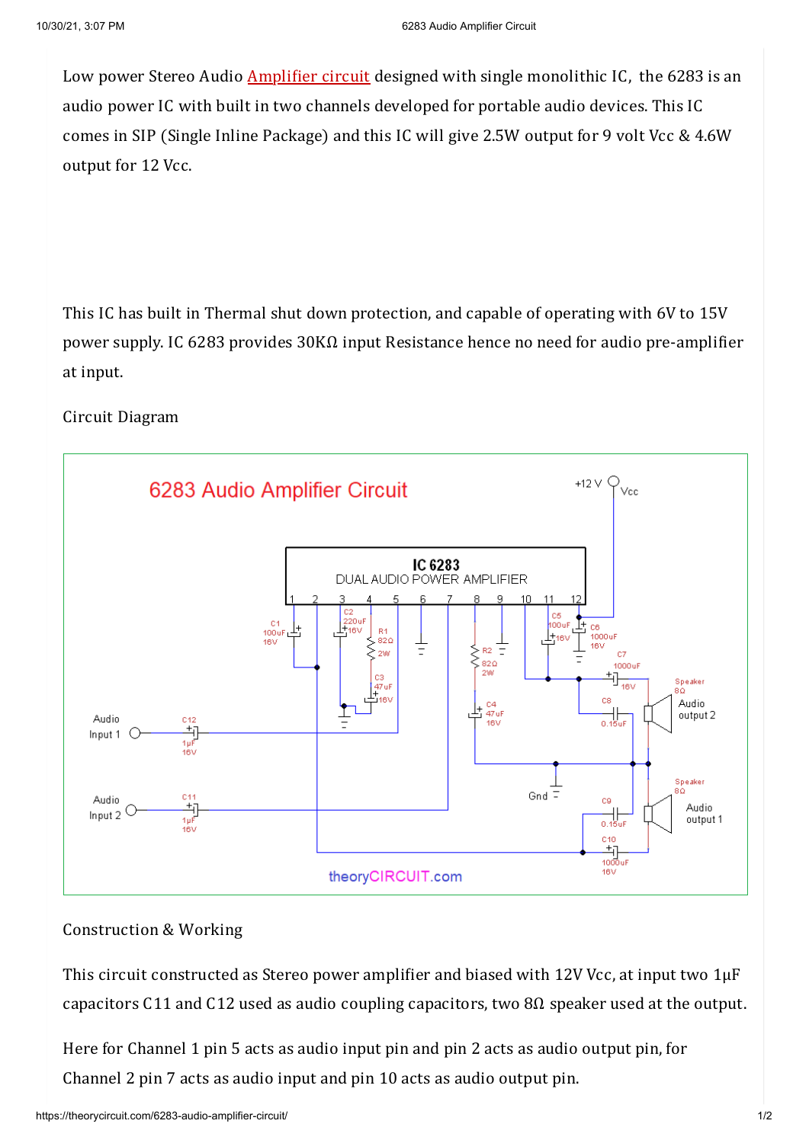Low power Stereo Audio **[Amplifier](https://theorycircuit.com/simple-pam8403-amplifier-circuit/) circuit** designed with single monolithic IC, the 6283 is an audio power IC with built in two channels developed for portable audio devices. This IC comes in SIP (Single Inline Package) and this IC will give 2.5W output for 9 volt Vcc & 4.6W output for 12 Vcc.

This IC has built in Thermal shut down protection, and capable of operating with 6V to 15V power supply. IC 6283 provides 30KΩ input Resistance hence no need for audio pre-amplifier at input.

## Circuit Diagram



## Construction & Working

This circuit constructed as Stereo power amplifier and biased with 12V Vcc, at input two 1μF capacitors C11 and C12 used as audio coupling capacitors, two 8Ω speaker used at the output.

Here for Channel 1 pin 5 acts as audio input pin and pin 2 acts as audio output pin, for Channel 2 pin 7 acts as audio input and pin 10 acts as audio output pin.